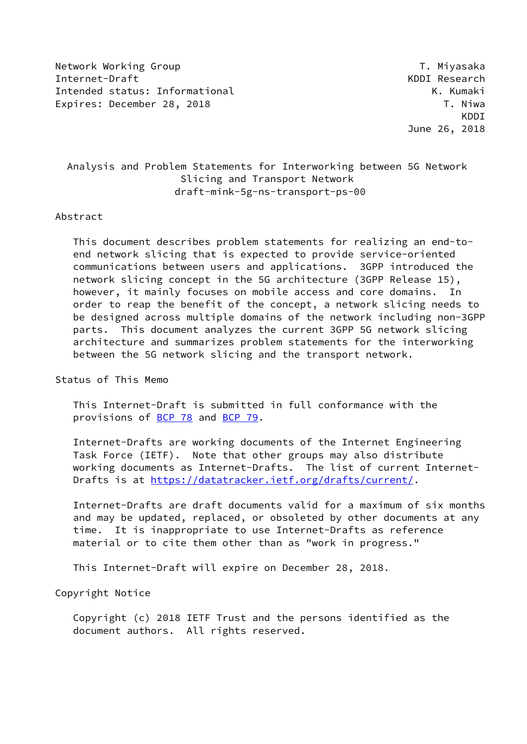Network Working Group Theory of the Control of the Millet of T. Miyasaka Internet-Draft KDDI Research Intended status: Informational **K. Kumaki** Expires: December 28, 2018 T. Niwa

 KDDI June 26, 2018

# Analysis and Problem Statements for Interworking between 5G Network Slicing and Transport Network draft-mink-5g-ns-transport-ps-00

#### Abstract

 This document describes problem statements for realizing an end-to end network slicing that is expected to provide service-oriented communications between users and applications. 3GPP introduced the network slicing concept in the 5G architecture (3GPP Release 15), however, it mainly focuses on mobile access and core domains. In order to reap the benefit of the concept, a network slicing needs to be designed across multiple domains of the network including non-3GPP parts. This document analyzes the current 3GPP 5G network slicing architecture and summarizes problem statements for the interworking between the 5G network slicing and the transport network.

### Status of This Memo

 This Internet-Draft is submitted in full conformance with the provisions of [BCP 78](https://datatracker.ietf.org/doc/pdf/bcp78) and [BCP 79](https://datatracker.ietf.org/doc/pdf/bcp79).

 Internet-Drafts are working documents of the Internet Engineering Task Force (IETF). Note that other groups may also distribute working documents as Internet-Drafts. The list of current Internet Drafts is at<https://datatracker.ietf.org/drafts/current/>.

 Internet-Drafts are draft documents valid for a maximum of six months and may be updated, replaced, or obsoleted by other documents at any time. It is inappropriate to use Internet-Drafts as reference material or to cite them other than as "work in progress."

This Internet-Draft will expire on December 28, 2018.

Copyright Notice

 Copyright (c) 2018 IETF Trust and the persons identified as the document authors. All rights reserved.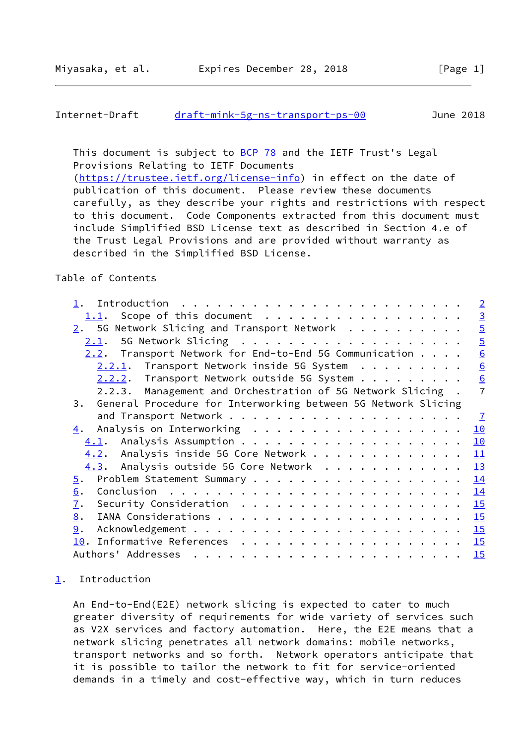```
Internet-Draft draft-mink-5g-ns-transport-ps-00 June 2018
```
This document is subject to [BCP 78](https://datatracker.ietf.org/doc/pdf/bcp78) and the IETF Trust's Legal Provisions Relating to IETF Documents

 [\(https://trustee.ietf.org/license-info](https://trustee.ietf.org/license-info)) in effect on the date of publication of this document. Please review these documents carefully, as they describe your rights and restrictions with respect to this document. Code Components extracted from this document must include Simplified BSD License text as described in Section 4.e of the Trust Legal Provisions and are provided without warranty as described in the Simplified BSD License.

### Table of Contents

|      | $\overline{2}$                                                                                                                                                                                                                                                                                                                                                                                                                                                                                                              |
|------|-----------------------------------------------------------------------------------------------------------------------------------------------------------------------------------------------------------------------------------------------------------------------------------------------------------------------------------------------------------------------------------------------------------------------------------------------------------------------------------------------------------------------------|
|      | $\overline{3}$                                                                                                                                                                                                                                                                                                                                                                                                                                                                                                              |
|      | $\overline{5}$                                                                                                                                                                                                                                                                                                                                                                                                                                                                                                              |
|      | $\overline{5}$                                                                                                                                                                                                                                                                                                                                                                                                                                                                                                              |
|      | 6                                                                                                                                                                                                                                                                                                                                                                                                                                                                                                                           |
|      | 6                                                                                                                                                                                                                                                                                                                                                                                                                                                                                                                           |
|      | 6                                                                                                                                                                                                                                                                                                                                                                                                                                                                                                                           |
|      | $\overline{7}$                                                                                                                                                                                                                                                                                                                                                                                                                                                                                                              |
|      |                                                                                                                                                                                                                                                                                                                                                                                                                                                                                                                             |
|      | $\overline{1}$                                                                                                                                                                                                                                                                                                                                                                                                                                                                                                              |
|      | 10                                                                                                                                                                                                                                                                                                                                                                                                                                                                                                                          |
|      |                                                                                                                                                                                                                                                                                                                                                                                                                                                                                                                             |
|      | 10                                                                                                                                                                                                                                                                                                                                                                                                                                                                                                                          |
|      | 11                                                                                                                                                                                                                                                                                                                                                                                                                                                                                                                          |
| 4.3. | <u>13</u>                                                                                                                                                                                                                                                                                                                                                                                                                                                                                                                   |
| 5.   | 14                                                                                                                                                                                                                                                                                                                                                                                                                                                                                                                          |
| 6.   | 14                                                                                                                                                                                                                                                                                                                                                                                                                                                                                                                          |
| 7.   | 15                                                                                                                                                                                                                                                                                                                                                                                                                                                                                                                          |
| 8.   | 15                                                                                                                                                                                                                                                                                                                                                                                                                                                                                                                          |
| 9.   | 15                                                                                                                                                                                                                                                                                                                                                                                                                                                                                                                          |
|      | 15                                                                                                                                                                                                                                                                                                                                                                                                                                                                                                                          |
|      | 15                                                                                                                                                                                                                                                                                                                                                                                                                                                                                                                          |
|      | 1.1. Scope of this document<br>5G Network Slicing and Transport Network<br>2.<br>2.1.<br>$2.2$ . Transport Network for End-to-End 5G Communication $\ldots$ .<br>$2.2.1$ . Transport Network inside 5G System<br>$2.2.2.$ Transport Network outside 5G System<br>2.2.3. Management and Orchestration of 5G Network Slicing.<br>General Procedure for Interworking between 5G Network Slicing<br>3.<br>Analysis on Interworking<br>4.<br>4.1.<br>Analysis inside 5G Core Network<br>4.2.<br>Analysis outside 5G Core Network |

#### <span id="page-1-0"></span>[1](#page-1-0). Introduction

 An End-to-End(E2E) network slicing is expected to cater to much greater diversity of requirements for wide variety of services such as V2X services and factory automation. Here, the E2E means that a network slicing penetrates all network domains: mobile networks, transport networks and so forth. Network operators anticipate that it is possible to tailor the network to fit for service-oriented demands in a timely and cost-effective way, which in turn reduces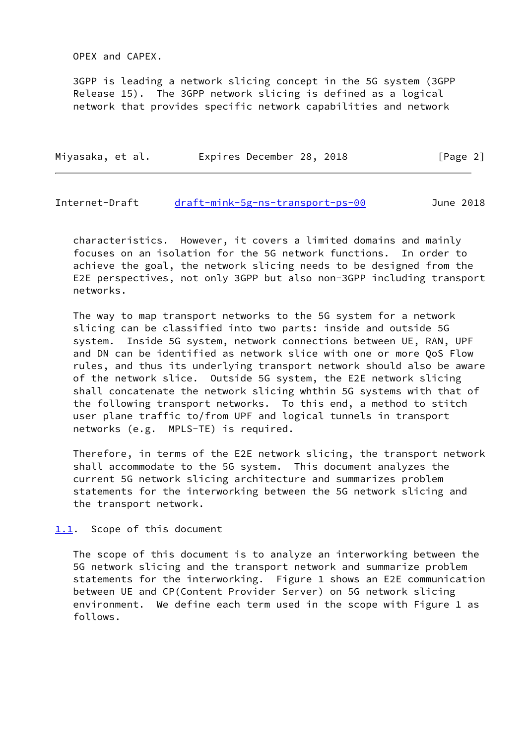OPEX and CAPEX.

 3GPP is leading a network slicing concept in the 5G system (3GPP Release 15). The 3GPP network slicing is defined as a logical network that provides specific network capabilities and network

| Expires December 28, 2018<br>[Page 2]<br>Miyasaka, et al. |  |
|-----------------------------------------------------------|--|
|-----------------------------------------------------------|--|

#### <span id="page-2-1"></span>Internet-Draft [draft-mink-5g-ns-transport-ps-00](https://datatracker.ietf.org/doc/pdf/draft-mink-5g-ns-transport-ps-00) June 2018

 characteristics. However, it covers a limited domains and mainly focuses on an isolation for the 5G network functions. In order to achieve the goal, the network slicing needs to be designed from the E2E perspectives, not only 3GPP but also non-3GPP including transport networks.

 The way to map transport networks to the 5G system for a network slicing can be classified into two parts: inside and outside 5G system. Inside 5G system, network connections between UE, RAN, UPF and DN can be identified as network slice with one or more QoS Flow rules, and thus its underlying transport network should also be aware of the network slice. Outside 5G system, the E2E network slicing shall concatenate the network slicing whthin 5G systems with that of the following transport networks. To this end, a method to stitch user plane traffic to/from UPF and logical tunnels in transport networks (e.g. MPLS-TE) is required.

 Therefore, in terms of the E2E network slicing, the transport network shall accommodate to the 5G system. This document analyzes the current 5G network slicing architecture and summarizes problem statements for the interworking between the 5G network slicing and the transport network.

### <span id="page-2-0"></span>[1.1](#page-2-0). Scope of this document

 The scope of this document is to analyze an interworking between the 5G network slicing and the transport network and summarize problem statements for the interworking. Figure 1 shows an E2E communication between UE and CP(Content Provider Server) on 5G network slicing environment. We define each term used in the scope with Figure 1 as follows.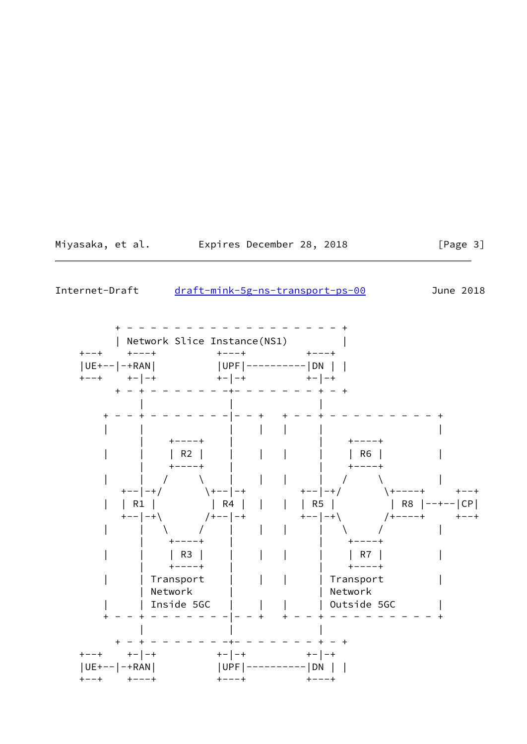Miyasaka, et al. Expires December 28, 2018

 $[Page 3]$ 

Internet-Draft draft-mink-5g-ns-transport-ps-00

June 2018

| Network Slice Instance(NS1)  $+ - - - +$  $+--+$   $+---+$  $+ - - - +$  $|UE+--|$  -+RAN  $|$ | UPF | ---------- | DN | |  $+ -$  |  $- +$  $+ - |- + |$  $\left[\begin{array}{cccc} 1 & 1 & 1 & \cdots \\ \vdots & \vdots & \vdots & \vdots \end{array}\right]$  $+ - - - - +$  $+ - - - - +$  $|RG|$  $+ - - - - +$  $+ - - - - +$  $\begin{array}{ccc} & & \dot{1} & \\ & & \dot{1} & \\ & & & \end{array}$  $\mathcal{L} = \mathcal{L}$  $\mathcal{L} = \{ \mathcal{L} \}$  $+--|-+/$  $+--| -+/ \left( +--\right) -+$  $+---++$  $+--+$ | R8  $|-++-|CP|$  $+ - +$   $\setminus$  $/$  + - - - - +  $+--+$  $\begin{pmatrix} 1 & 1 \\ 1 & 1 \end{pmatrix}$  $\mathbf{I}$  $+ - - - +$  $+ - - - +$  $\mid$  R3  $\mid$  $\begin{bmatrix} 1 & 1 & 1 & 1 \\ 1 & 1 & 1 & 1 \\ 1 & 1 & 1 & 1 \end{bmatrix}$ | R7 |  $+ - - - +$  $+ - - - - +$ | | Transport | Transport **Contract Contract** | Network | Network | | Outside 5GC | Inside 5GC  $+ - - + - + - - - - - + + - - +$   $+ - |- +$  $+ - +$  $+-|-+$ | UPF | ---------- | DN | |<br>+---+ +---+  $|UE+--|$  -+RAN  $|$  $+ - - + - - +$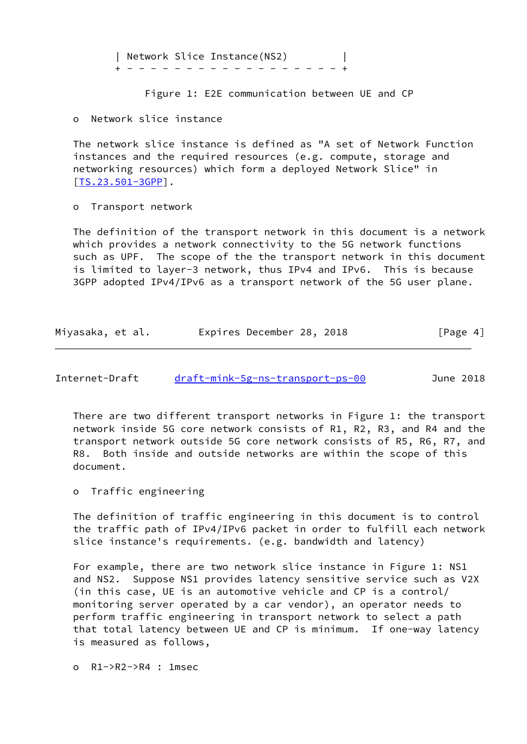| Network Slice Instance(NS2) | + - - - - - - - - - - - - - - - - - - +

Figure 1: E2E communication between UE and CP

o Network slice instance

 The network slice instance is defined as "A set of Network Function instances and the required resources (e.g. compute, storage and networking resources) which form a deployed Network Slice" in [\[TS.23.501-3GPP](#page-16-3)].

o Transport network

 The definition of the transport network in this document is a network which provides a network connectivity to the 5G network functions such as UPF. The scope of the the transport network in this document is limited to layer-3 network, thus IPv4 and IPv6. This is because 3GPP adopted IPv4/IPv6 as a transport network of the 5G user plane.

| Miyasaka, et al. | Expires December 28, 2018 | [Page 4] |
|------------------|---------------------------|----------|
|------------------|---------------------------|----------|

<span id="page-4-0"></span>Internet-Draft [draft-mink-5g-ns-transport-ps-00](https://datatracker.ietf.org/doc/pdf/draft-mink-5g-ns-transport-ps-00) June 2018

 There are two different transport networks in Figure 1: the transport network inside 5G core network consists of R1, R2, R3, and R4 and the transport network outside 5G core network consists of R5, R6, R7, and R8. Both inside and outside networks are within the scope of this document.

o Traffic engineering

 The definition of traffic engineering in this document is to control the traffic path of IPv4/IPv6 packet in order to fulfill each network slice instance's requirements. (e.g. bandwidth and latency)

 For example, there are two network slice instance in Figure 1: NS1 and NS2. Suppose NS1 provides latency sensitive service such as V2X (in this case, UE is an automotive vehicle and CP is a control/ monitoring server operated by a car vendor), an operator needs to perform traffic engineering in transport network to select a path that total latency between UE and CP is minimum. If one-way latency is measured as follows,

o R1->R2->R4 : 1msec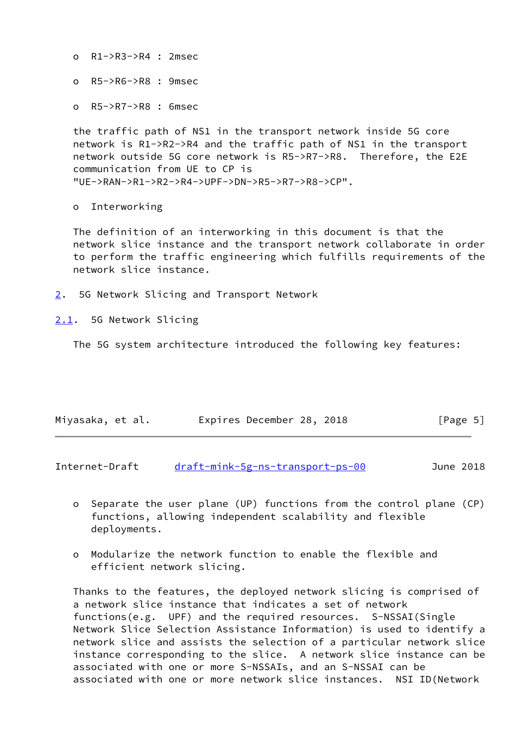o R1->R3->R4 : 2msec

o R5->R6->R8 : 9msec

o R5->R7->R8 : 6msec

 the traffic path of NS1 in the transport network inside 5G core network is R1->R2->R4 and the traffic path of NS1 in the transport network outside 5G core network is R5->R7->R8. Therefore, the E2E communication from UE to CP is "UE->RAN->R1->R2->R4->UPF->DN->R5->R7->R8->CP".

o Interworking

 The definition of an interworking in this document is that the network slice instance and the transport network collaborate in order to perform the traffic engineering which fulfills requirements of the network slice instance.

<span id="page-5-0"></span>[2](#page-5-0). 5G Network Slicing and Transport Network

<span id="page-5-1"></span>[2.1](#page-5-1). 5G Network Slicing

The 5G system architecture introduced the following key features:

| Miyasaka, et al. |  |  | Expires December 28, 2018 |  |  | [Page 5] |  |
|------------------|--|--|---------------------------|--|--|----------|--|
|------------------|--|--|---------------------------|--|--|----------|--|

<span id="page-5-2"></span>Internet-Draft [draft-mink-5g-ns-transport-ps-00](https://datatracker.ietf.org/doc/pdf/draft-mink-5g-ns-transport-ps-00) June 2018

- o Separate the user plane (UP) functions from the control plane (CP) functions, allowing independent scalability and flexible deployments.
- o Modularize the network function to enable the flexible and efficient network slicing.

 Thanks to the features, the deployed network slicing is comprised of a network slice instance that indicates a set of network functions(e.g. UPF) and the required resources. S-NSSAI(Single Network Slice Selection Assistance Information) is used to identify a network slice and assists the selection of a particular network slice instance corresponding to the slice. A network slice instance can be associated with one or more S-NSSAIs, and an S-NSSAI can be associated with one or more network slice instances. NSI ID(Network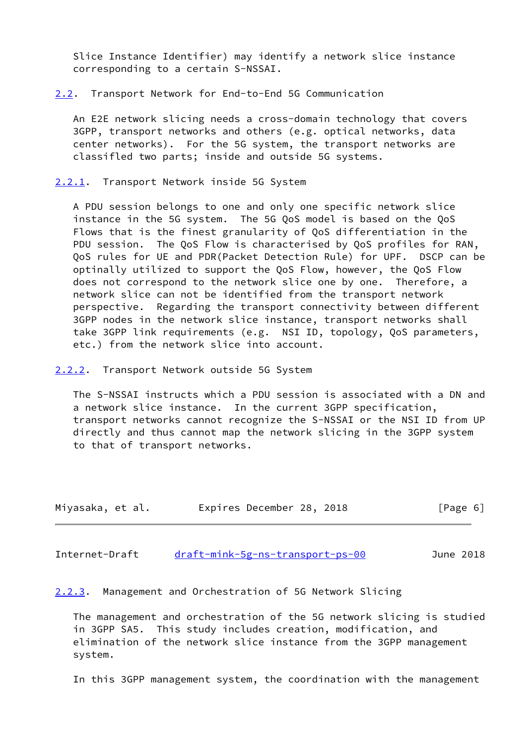Slice Instance Identifier) may identify a network slice instance corresponding to a certain S-NSSAI.

<span id="page-6-0"></span>[2.2](#page-6-0). Transport Network for End-to-End 5G Communication

 An E2E network slicing needs a cross-domain technology that covers 3GPP, transport networks and others (e.g. optical networks, data center networks). For the 5G system, the transport networks are classifled two parts; inside and outside 5G systems.

<span id="page-6-1"></span>[2.2.1](#page-6-1). Transport Network inside 5G System

 A PDU session belongs to one and only one specific network slice instance in the 5G system. The 5G QoS model is based on the QoS Flows that is the finest granularity of QoS differentiation in the PDU session. The QoS Flow is characterised by QoS profiles for RAN, QoS rules for UE and PDR(Packet Detection Rule) for UPF. DSCP can be optinally utilized to support the QoS Flow, however, the QoS Flow does not correspond to the network slice one by one. Therefore, a network slice can not be identified from the transport network perspective. Regarding the transport connectivity between different 3GPP nodes in the network slice instance, transport networks shall take 3GPP link requirements (e.g. NSI ID, topology, QoS parameters, etc.) from the network slice into account.

<span id="page-6-2"></span>[2.2.2](#page-6-2). Transport Network outside 5G System

 The S-NSSAI instructs which a PDU session is associated with a DN and a network slice instance. In the current 3GPP specification, transport networks cannot recognize the S-NSSAI or the NSI ID from UP directly and thus cannot map the network slicing in the 3GPP system to that of transport networks.

| Miyasaka, et al. | Expires December 28, 2018 |  | [Page 6] |
|------------------|---------------------------|--|----------|
|------------------|---------------------------|--|----------|

<span id="page-6-3"></span>Internet-Draft [draft-mink-5g-ns-transport-ps-00](https://datatracker.ietf.org/doc/pdf/draft-mink-5g-ns-transport-ps-00) June 2018

<span id="page-6-4"></span>[2.2.3](#page-6-4). Management and Orchestration of 5G Network Slicing

 The management and orchestration of the 5G network slicing is studied in 3GPP SA5. This study includes creation, modification, and elimination of the network slice instance from the 3GPP management system.

In this 3GPP management system, the coordination with the management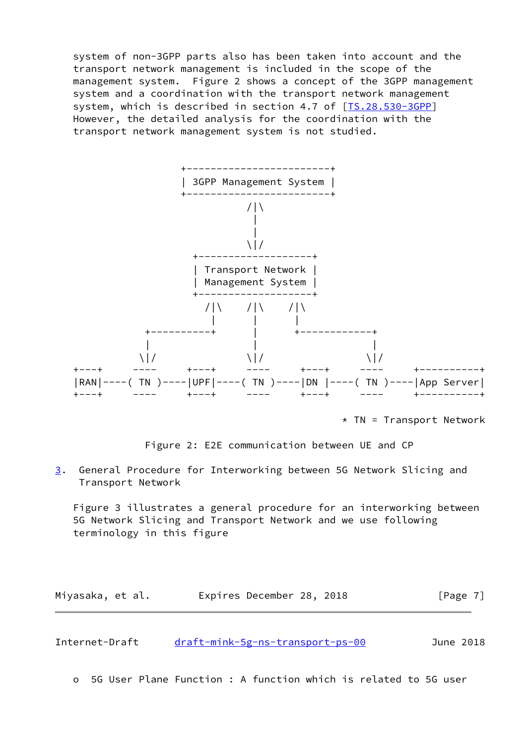system of non-3GPP parts also has been taken into account and the transport network management is included in the scope of the management system. Figure 2 shows a concept of the 3GPP management system and a coordination with the transport network management system, which is described in section 4.7 of [\[TS.28.530-3GPP](#page-16-4)] However, the detailed analysis for the coordination with the transport network management system is not studied.



 $*$  TN = Transport Network



<span id="page-7-0"></span>[3](#page-7-0). General Procedure for Interworking between 5G Network Slicing and Transport Network

 Figure 3 illustrates a general procedure for an interworking between 5G Network Slicing and Transport Network and we use following terminology in this figure

Miyasaka, et al. **Expires December 28, 2018**[Page 7]

| Internet-Draft | draft-mink-5g-ns-transport-ps-00 | June 2018 |
|----------------|----------------------------------|-----------|
|----------------|----------------------------------|-----------|

o 5G User Plane Function : A function which is related to 5G user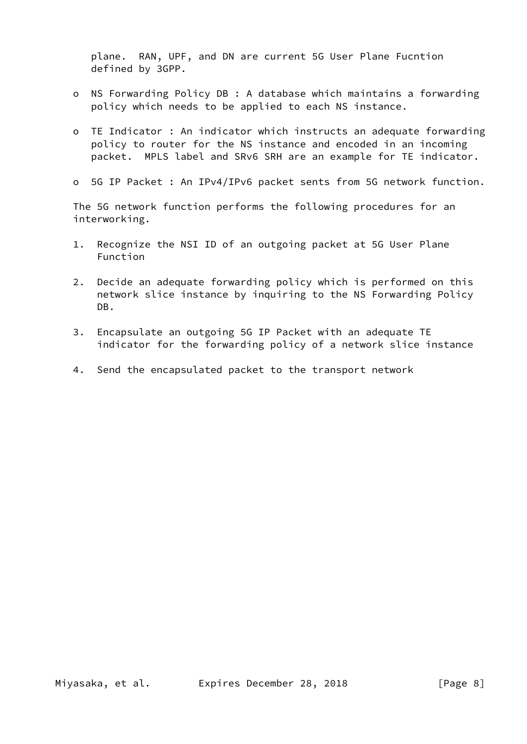plane. RAN, UPF, and DN are current 5G User Plane Fucntion defined by 3GPP.

- o NS Forwarding Policy DB : A database which maintains a forwarding policy which needs to be applied to each NS instance.
- o TE Indicator : An indicator which instructs an adequate forwarding policy to router for the NS instance and encoded in an incoming packet. MPLS label and SRv6 SRH are an example for TE indicator.
- o 5G IP Packet : An IPv4/IPv6 packet sents from 5G network function.

 The 5G network function performs the following procedures for an interworking.

- 1. Recognize the NSI ID of an outgoing packet at 5G User Plane Function
- 2. Decide an adequate forwarding policy which is performed on this network slice instance by inquiring to the NS Forwarding Policy DB.
- 3. Encapsulate an outgoing 5G IP Packet with an adequate TE indicator for the forwarding policy of a network slice instance
- 4. Send the encapsulated packet to the transport network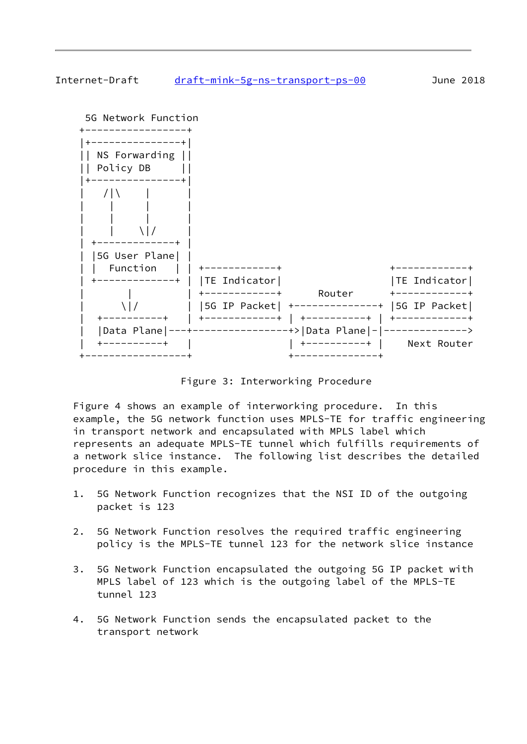## Internet-Draft [draft-mink-5g-ns-transport-ps-00](https://datatracker.ietf.org/doc/pdf/draft-mink-5g-ns-transport-ps-00) June 2018



Figure 3: Interworking Procedure

 Figure 4 shows an example of interworking procedure. In this example, the 5G network function uses MPLS-TE for traffic engineering in transport network and encapsulated with MPLS label which represents an adequate MPLS-TE tunnel which fulfills requirements of a network slice instance. The following list describes the detailed procedure in this example.

- 1. 5G Network Function recognizes that the NSI ID of the outgoing packet is 123
- 2. 5G Network Function resolves the required traffic engineering policy is the MPLS-TE tunnel 123 for the network slice instance
- 3. 5G Network Function encapsulated the outgoing 5G IP packet with MPLS label of 123 which is the outgoing label of the MPLS-TE tunnel 123
- 4. 5G Network Function sends the encapsulated packet to the transport network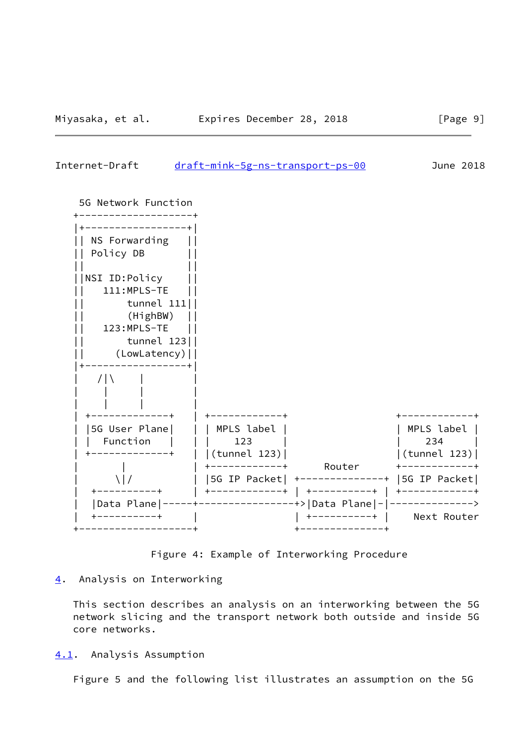<span id="page-10-1"></span>Internet-Draft [draft-mink-5g-ns-transport-ps-00](https://datatracker.ietf.org/doc/pdf/draft-mink-5g-ns-transport-ps-00) June 2018



Figure 4: Example of Interworking Procedure

## <span id="page-10-0"></span>[4](#page-10-0). Analysis on Interworking

 This section describes an analysis on an interworking between the 5G network slicing and the transport network both outside and inside 5G core networks.

## <span id="page-10-2"></span>[4.1](#page-10-2). Analysis Assumption

Figure 5 and the following list illustrates an assumption on the 5G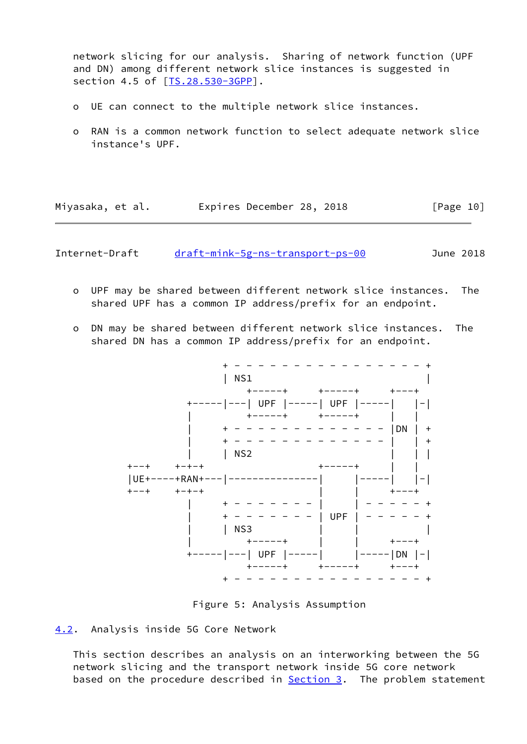network slicing for our analysis. Sharing of network function (UPF and DN) among different network slice instances is suggested in section 4.5 of [\[TS.28.530-3GPP](#page-16-4)].

- o UE can connect to the multiple network slice instances.
- o RAN is a common network function to select adequate network slice instance's UPF.

| Miyasaka, et al. | Expires December 28, 2018 |  | [Page 10] |
|------------------|---------------------------|--|-----------|
|------------------|---------------------------|--|-----------|

<span id="page-11-1"></span>Internet-Draft [draft-mink-5g-ns-transport-ps-00](https://datatracker.ietf.org/doc/pdf/draft-mink-5g-ns-transport-ps-00) June 2018

- o UPF may be shared between different network slice instances. The shared UPF has a common IP address/prefix for an endpoint.
- o DN may be shared between different network slice instances. The shared DN has a common IP address/prefix for an endpoint.





#### <span id="page-11-0"></span>[4.2](#page-11-0). Analysis inside 5G Core Network

 This section describes an analysis on an interworking between the 5G network slicing and the transport network inside 5G core network based on the procedure described in **Section 3</u>.** The problem statement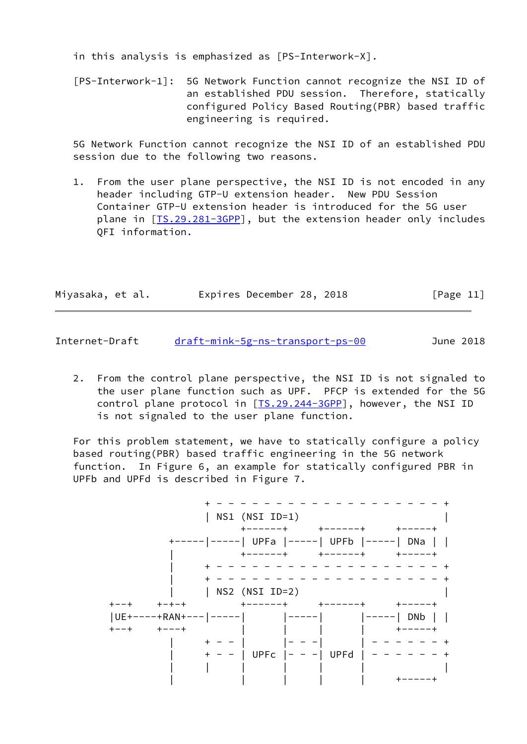in this analysis is emphasized as [PS-Interwork-X].

 [PS-Interwork-1]: 5G Network Function cannot recognize the NSI ID of an established PDU session. Therefore, statically configured Policy Based Routing(PBR) based traffic engineering is required.

 5G Network Function cannot recognize the NSI ID of an established PDU session due to the following two reasons.

 1. From the user plane perspective, the NSI ID is not encoded in any header including GTP-U extension header. New PDU Session Container GTP-U extension header is introduced for the 5G user plane in [\[TS.29.281-3GPP](#page-16-5)], but the extension header only includes QFI information.

| Miyasaka, et al. |  | Expires December 28, 2018 |  | [Page 11] |  |
|------------------|--|---------------------------|--|-----------|--|
|                  |  |                           |  |           |  |

Internet-Draft [draft-mink-5g-ns-transport-ps-00](https://datatracker.ietf.org/doc/pdf/draft-mink-5g-ns-transport-ps-00) June 2018

 2. From the control plane perspective, the NSI ID is not signaled to the user plane function such as UPF. PFCP is extended for the 5G control plane protocol in [[TS.29.244-3GPP](#page-16-6)], however, the NSI ID is not signaled to the user plane function.

 For this problem statement, we have to statically configure a policy based routing(PBR) based traffic engineering in the 5G network function. In Figure 6, an example for statically configured PBR in UPFb and UPFd is described in Figure 7.

 + - - - - - - - - - - - - - - - - - - - + | NS1 (NSI ID=1) | |<br>| +------+ + +------+ + +-----+<br>| +-----|-----| UPFa |-----| UPFb |-----| DNa | | | +------+ +------+ +-----+ | + - - - - - - - - - - - - - - - - - - - + | + - - - - - - - - - - - - - - - - - - - + | | NS2 (NSI ID=2) | +--+ +-+-+ +------+ +------+ +-----+ |UE+----+RAN+---|-----| |-----| |-----| DNb | | +--+ +---+ | | | | +-----+ | + - - | |- - -| | - - - - - - + | + - - | UPFc |- - -| UPFd | - - - - - - + | | | | | | | | | | | | | | | | | | +-----+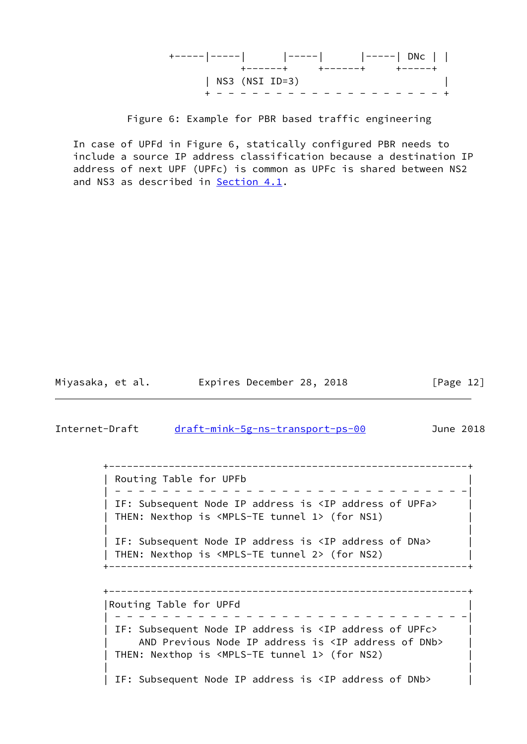| +------+ +------+ +-----+           |  |  |
|-------------------------------------|--|--|
| $ $ NS3 (NSI ID=3)                  |  |  |
| - - - - - - - - - - - - - - - - - - |  |  |

Figure 6: Example for PBR based traffic engineering

 In case of UPFd in Figure 6, statically configured PBR needs to include a source IP address classification because a destination IP address of next UPF (UPFc) is common as UPFc is shared between NS2 and NS3 as described in [Section 4.1](#page-10-2).

Miyasaka, et al. Expires December 28, 2018 [Page 12]

<span id="page-13-0"></span>Internet-Draft [draft-mink-5g-ns-transport-ps-00](https://datatracker.ietf.org/doc/pdf/draft-mink-5g-ns-transport-ps-00) June 2018

 +------------------------------------------------------------+ | Routing Table for UPFb | | - - - - - - - - - - - - - - - - - - - - - - - - - - - - - -| | IF: Subsequent Node IP address is <IP address of UPFa> | THEN: Nexthop is <MPLS-TE tunnel 1> (for NS1) | | | | IF: Subsequent Node IP address is <IP address of DNa> | THEN: Nexthop is <MPLS-TE tunnel 2> (for NS2) | +------------------------------------------------------------+

 +------------------------------------------------------------+ |Routing Table for UPFd | | - - - - - - - - - - - - - - - - - - - - - - - - - - - - - -| | IF: Subsequent Node IP address is <IP address of UPFc> AND Previous Node IP address is <IP address of DNb> | THEN: Nexthop is <MPLS-TE tunnel 1> (for NS2) | | | IF: Subsequent Node IP address is <IP address of DNb>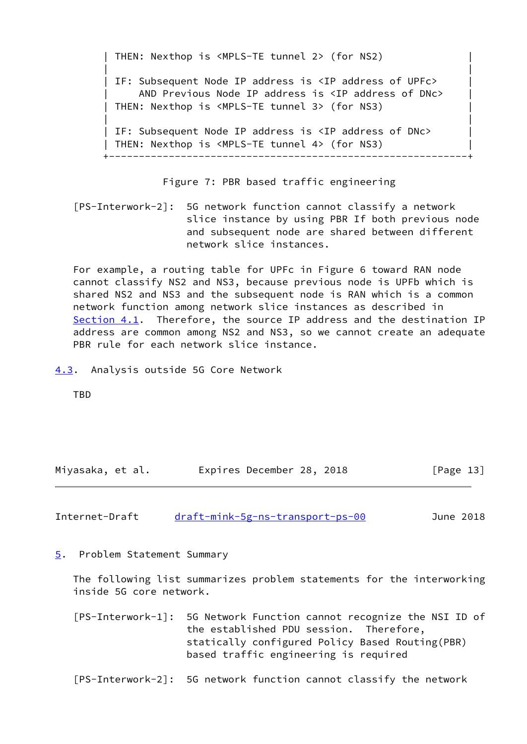THEN: Nexthop is <MPLS-TE tunnel 2> (for NS2) | | | IF: Subsequent Node IP address is <IP address of UPFc> AND Previous Node IP address is <IP address of DNc> THEN: Nexthop is <MPLS-TE tunnel 3> (for NS3) | | | IF: Subsequent Node IP address is <IP address of DNc> THEN: Nexthop is <MPLS-TE tunnel 4> (for NS3) +------------------------------------------------------------+

Figure 7: PBR based traffic engineering

 [PS-Interwork-2]: 5G network function cannot classify a network slice instance by using PBR If both previous node and subsequent node are shared between different network slice instances.

 For example, a routing table for UPFc in Figure 6 toward RAN node cannot classify NS2 and NS3, because previous node is UPFb which is shared NS2 and NS3 and the subsequent node is RAN which is a common network function among network slice instances as described in [Section 4.1](#page-10-2). Therefore, the source IP address and the destination IP address are common among NS2 and NS3, so we cannot create an adequate PBR rule for each network slice instance.

<span id="page-14-0"></span>[4.3](#page-14-0). Analysis outside 5G Core Network

TBD

| Miyasaka, et al. | Expires December 28, 2018 | [Page 13] |
|------------------|---------------------------|-----------|
|------------------|---------------------------|-----------|

<span id="page-14-2"></span>

| Internet-Draft | draft-mink-5g-ns-transport-ps-00 | June 2018 |
|----------------|----------------------------------|-----------|
|                |                                  |           |

<span id="page-14-1"></span>[5](#page-14-1). Problem Statement Summary

 The following list summarizes problem statements for the interworking inside 5G core network.

 [PS-Interwork-1]: 5G Network Function cannot recognize the NSI ID of the established PDU session. Therefore, statically configured Policy Based Routing(PBR) based traffic engineering is required

[PS-Interwork-2]: 5G network function cannot classify the network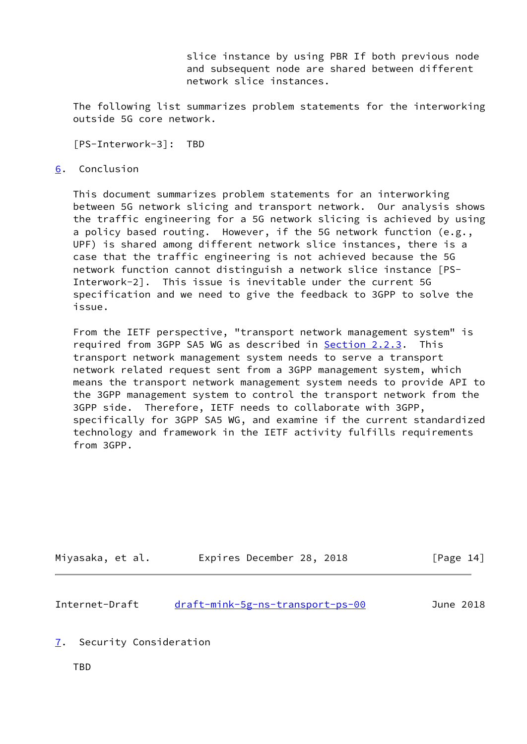slice instance by using PBR If both previous node and subsequent node are shared between different network slice instances.

 The following list summarizes problem statements for the interworking outside 5G core network.

[PS-Interwork-3]: TBD

#### <span id="page-15-0"></span>[6](#page-15-0). Conclusion

 This document summarizes problem statements for an interworking between 5G network slicing and transport network. Our analysis shows the traffic engineering for a 5G network slicing is achieved by using a policy based routing. However, if the 5G network function (e.g., UPF) is shared among different network slice instances, there is a case that the traffic engineering is not achieved because the 5G network function cannot distinguish a network slice instance [PS- Interwork-2]. This issue is inevitable under the current 5G specification and we need to give the feedback to 3GPP to solve the issue.

 From the IETF perspective, "transport network management system" is required from 3GPP SA5 WG as described in [Section 2.2.3.](#page-6-4) This transport network management system needs to serve a transport network related request sent from a 3GPP management system, which means the transport network management system needs to provide API to the 3GPP management system to control the transport network from the 3GPP side. Therefore, IETF needs to collaborate with 3GPP, specifically for 3GPP SA5 WG, and examine if the current standardized technology and framework in the IETF activity fulfills requirements from 3GPP.

| Miyasaka, et al. |  |  | Expires December 28, 2018 |  |  | [Page 14] |  |
|------------------|--|--|---------------------------|--|--|-----------|--|
|------------------|--|--|---------------------------|--|--|-----------|--|

<span id="page-15-2"></span>

| Internet-Draft | draft-mink-5g-ns-transport-ps-00 |  | June 2018 |  |
|----------------|----------------------------------|--|-----------|--|
|                |                                  |  |           |  |

- <span id="page-15-1"></span>[7](#page-15-1). Security Consideration
	- TBD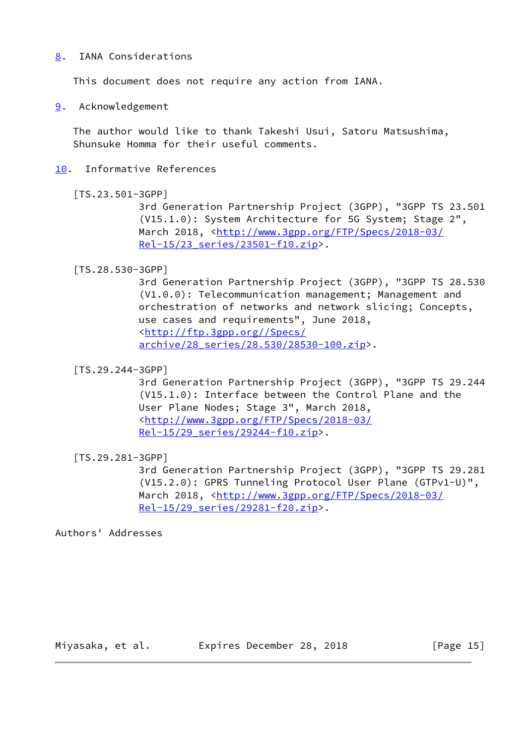## <span id="page-16-0"></span>[8](#page-16-0). IANA Considerations

This document does not require any action from IANA.

<span id="page-16-1"></span>[9](#page-16-1). Acknowledgement

 The author would like to thank Takeshi Usui, Satoru Matsushima, Shunsuke Homma for their useful comments.

<span id="page-16-2"></span>[10.](#page-16-2) Informative References

```
 [TS.23.501-3GPP]
```
 3rd Generation Partnership Project (3GPP), "3GPP TS 23.501 (V15.1.0): System Architecture for 5G System; Stage 2", March 2018, [<http://www.3gpp.org/FTP/Specs/2018-03/](http://www.3gpp.org/FTP/Specs/2018-03/Rel-15/23_series/23501-f10.zip) [Rel-15/23\\_series/23501-f10.zip](http://www.3gpp.org/FTP/Specs/2018-03/Rel-15/23_series/23501-f10.zip)>.

## <span id="page-16-4"></span>[TS.28.530-3GPP]

 3rd Generation Partnership Project (3GPP), "3GPP TS 28.530 (V1.0.0): Telecommunication management; Management and orchestration of networks and network slicing; Concepts, use cases and requirements", June 2018, <[http://ftp.3gpp.org//Specs/](http://ftp.3gpp.org//Specs/archive/28_series/28.530/28530-100.zip) [archive/28\\_series/28.530/28530-100.zip](http://ftp.3gpp.org//Specs/archive/28_series/28.530/28530-100.zip)>.

## <span id="page-16-6"></span>[TS.29.244-3GPP]

 3rd Generation Partnership Project (3GPP), "3GPP TS 29.244 (V15.1.0): Interface between the Control Plane and the User Plane Nodes; Stage 3", March 2018, <[http://www.3gpp.org/FTP/Specs/2018-03/](http://www.3gpp.org/FTP/Specs/2018-03/Rel-15/29_series/29244-f10.zip) [Rel-15/29\\_series/29244-f10.zip](http://www.3gpp.org/FTP/Specs/2018-03/Rel-15/29_series/29244-f10.zip)>.

# <span id="page-16-5"></span>[TS.29.281-3GPP]

 3rd Generation Partnership Project (3GPP), "3GPP TS 29.281 (V15.2.0): GPRS Tunneling Protocol User Plane (GTPv1-U)", March 2018, [<http://www.3gpp.org/FTP/Specs/2018-03/](http://www.3gpp.org/FTP/Specs/2018-03/Rel-15/29_series/29281-f20.zip) [Rel-15/29\\_series/29281-f20.zip](http://www.3gpp.org/FTP/Specs/2018-03/Rel-15/29_series/29281-f20.zip)>.

Authors' Addresses

Miyasaka, et al. Expires December 28, 2018 [Page 15]